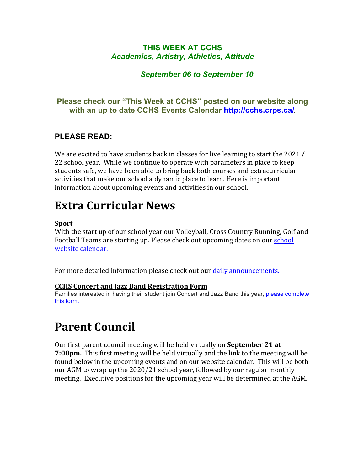### **THIS WEEK AT CCHS** *Academics, Artistry, Athletics, Attitude*

### *September 06 to September 10*

### **Please check our "This Week at CCHS" posted on our website along with an up to date CCHS Events Calendar<http://cchs.crps.ca/>**.

### **PLEASE READ:**

We are excited to have students back in classes for live learning to start the 2021 / 22 school year. While we continue to operate with parameters in place to keep students safe, we have been able to bring back both courses and extracurricular activities that make our school a dynamic place to learn. Here is important information about upcoming events and activities in our school.

## **Extra Curricular News**

### **Sport**

With the start up of our school year our Volleyball, Cross Country Running, Golf and Football Teams are starting up. Please check out upcoming dates on our school website calendar.

For more detailed information please check out our daily announcements.

### **CCHS Concert and Jazz Band Registration Form**

Families interested in having their student join Concert and Jazz Band this year, [please complete](https://forms.gle/jrZ4NQTyoUivHPaVA) [this form.](https://forms.gle/jrZ4NQTyoUivHPaVA)

## **Parent Council**

Our first parent council meeting will be held virtually on **September 21 at 7:00pm.** This first meeting will be held virtually and the link to the meeting will be found below in the upcoming events and on our website calendar. This will be both our AGM to wrap up the 2020/21 school year, followed by our regular monthly meeting. Executive positions for the upcoming year will be determined at the AGM.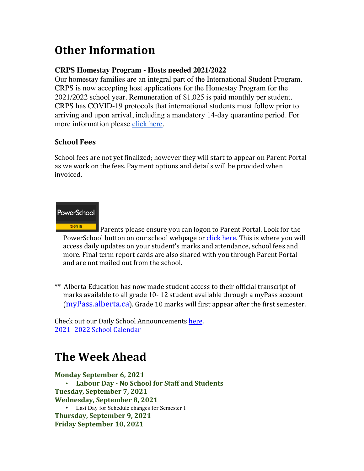# **Other Information**

### **CRPS Homestay Program - Hosts needed 2021/2022**

Our homestay families are an integral part of the International Student Program. CRPS is now accepting host applications for the Homestay Program for the 2021/2022 school year. Remuneration of \$1,025 is paid monthly per student. CRPS has COVID-19 protocols that international students must follow prior to arriving and upon arrival, including a mandatory 14-day quarantine period. For more information please [click here](https://crps.ca/Homestay Program.php).

### **School Fees**

School fees are not yet finalized; however they will start to appear on Parent Portal as we work on the fees. Payment options and details will be provided when invoiced.

### PowerSchool

Parents please ensure you can logon to Parent Portal. Look for the PowerSchool button on our school webpage or click here. This is where you will access daily updates on your student's marks and attendance, school fees and more. Final term report cards are also shared with you through Parent Portal and are not mailed out from the school.

\*\* Alberta Education has now made student access to their official transcript of marks available to all grade 10-12 student available through a myPass account [\(myPass.alberta.ca](https://public.education.alberta.ca/PASI/myPass)). Grade 10 marks will first appear after the first semester.

Check out our Daily School Announcements here. 2021 -2022 School Calendar

## **The Week Ahead**

**Monday September 6, 2021** • **Labour Day - No School for Staff and Students Tuesday, September 7, 2021 Wednesday, September 8, 2021** • Last Day for Schedule changes for Semester 1 **Thursday, September 9, 2021 Friday September 10, 2021**